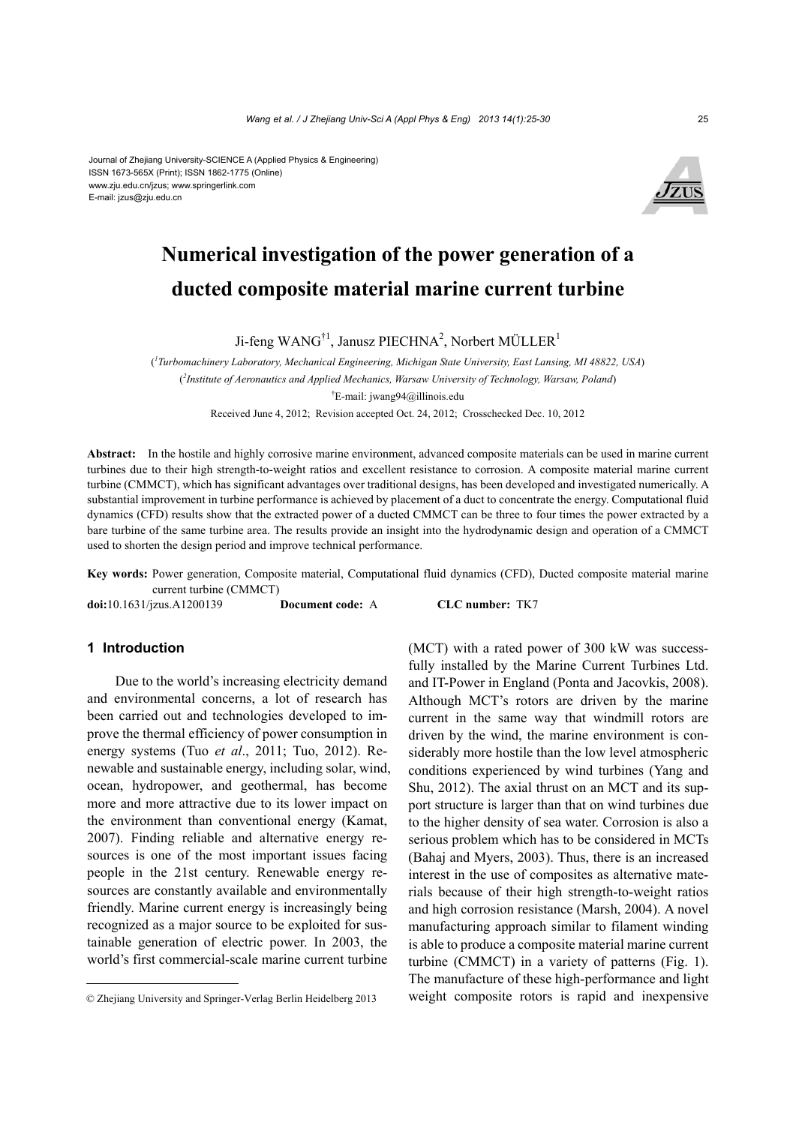#### Journal of Zhejiang University-SCIENCE A (Applied Physics & Engineering) ISSN 1673-565X (Print); ISSN 1862-1775 (Online) www.zju.edu.cn/jzus; www.springerlink.com E-mail: jzus@zju.edu.cn



# **Numerical investigation of the power generation of a ducted composite material marine current turbine**

Ji-feng WANG<sup>†1</sup>, Janusz PIECHNA<sup>2</sup>, Norbert MÜLLER<sup>1</sup>

( *1 Turbomachinery Laboratory, Mechanical Engineering, Michigan State University, East Lansing, MI 48822, USA*) ( *2 Institute of Aeronautics and Applied Mechanics, Warsaw University of Technology, Warsaw, Poland*) † E-mail: jwang94@illinois.edu Received June 4, 2012; Revision accepted Oct. 24, 2012; Crosschecked Dec. 10, 2012

**Abstract:** In the hostile and highly corrosive marine environment, advanced composite materials can be used in marine current turbines due to their high strength-to-weight ratios and excellent resistance to corrosion. A composite material marine current turbine (CMMCT), which has significant advantages over traditional designs, has been developed and investigated numerically. A substantial improvement in turbine performance is achieved by placement of a duct to concentrate the energy. Computational fluid dynamics (CFD) results show that the extracted power of a ducted CMMCT can be three to four times the power extracted by a bare turbine of the same turbine area. The results provide an insight into the hydrodynamic design and operation of a CMMCT used to shorten the design period and improve technical performance.

**Key words:** Power generation, Composite material, Computational fluid dynamics (CFD), Ducted composite material marine current turbine (CMMCT)

**doi:**10.1631/jzus.A1200139 **Document code:** A **CLC number:** TK7

## **1 Introduction**

Due to the world's increasing electricity demand and environmental concerns, a lot of research has been carried out and technologies developed to improve the thermal efficiency of power consumption in energy systems (Tuo *et al*., 2011; Tuo, 2012). Renewable and sustainable energy, including solar, wind, ocean, hydropower, and geothermal, has become more and more attractive due to its lower impact on the environment than conventional energy (Kamat, 2007). Finding reliable and alternative energy resources is one of the most important issues facing people in the 21st century. Renewable energy resources are constantly available and environmentally friendly. Marine current energy is increasingly being recognized as a major source to be exploited for sustainable generation of electric power. In 2003, the world's first commercial-scale marine current turbine

(MCT) with a rated power of 300 kW was successfully installed by the Marine Current Turbines Ltd. and IT-Power in England (Ponta and Jacovkis, 2008). Although MCT's rotors are driven by the marine current in the same way that windmill rotors are driven by the wind, the marine environment is considerably more hostile than the low level atmospheric conditions experienced by wind turbines (Yang and Shu, 2012). The axial thrust on an MCT and its support structure is larger than that on wind turbines due to the higher density of sea water. Corrosion is also a serious problem which has to be considered in MCTs (Bahaj and Myers, 2003). Thus, there is an increased interest in the use of composites as alternative materials because of their high strength-to-weight ratios and high corrosion resistance (Marsh, 2004). A novel manufacturing approach similar to filament winding is able to produce a composite material marine current turbine (CMMCT) in a variety of patterns (Fig. 1). The manufacture of these high-performance and light weight composite rotors is rapid and inexpensive

<sup>©</sup> Zhejiang University and Springer-Verlag Berlin Heidelberg 2013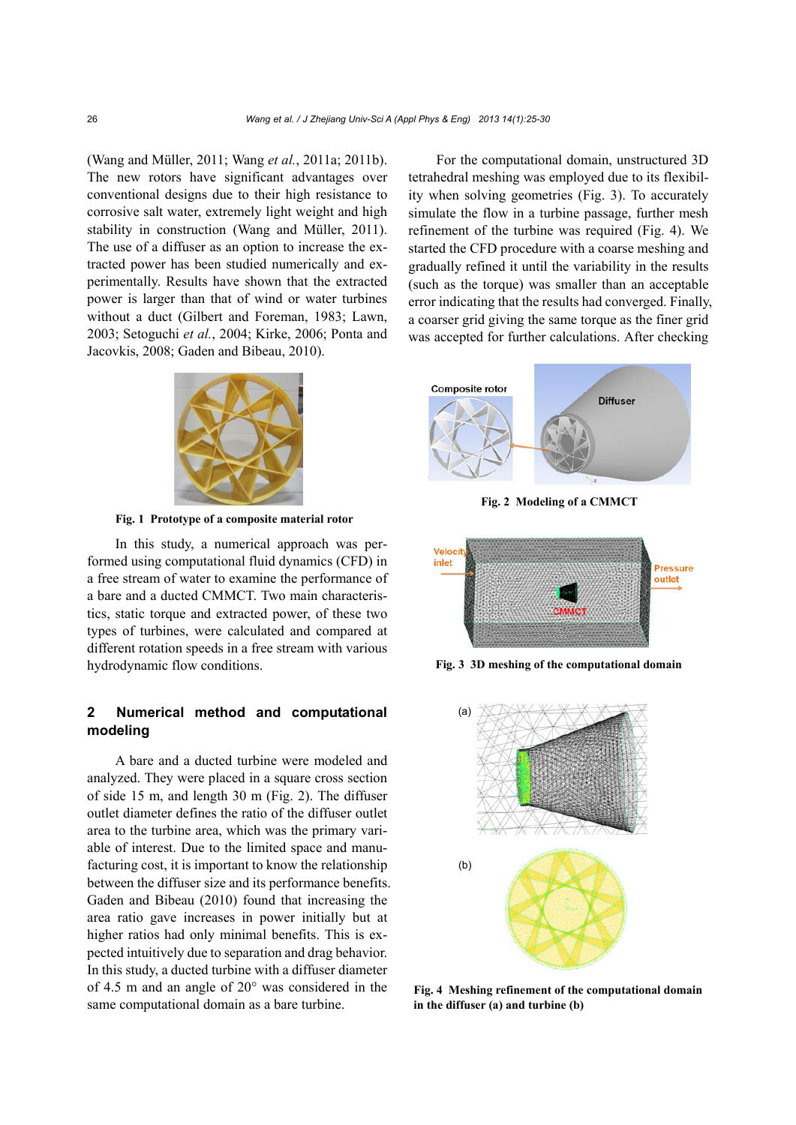(Wang and Müller, 2011; Wang *et al.*, 2011a; 2011b). The new rotors have significant advantages over conventional designs due to their high resistance to corrosive salt water, extremely light weight and high stability in construction (Wang and Müller, 2011). The use of a diffuser as an option to increase the extracted power has been studied numerically and experimentally. Results have shown that the extracted power is larger than that of wind or water turbines without a duct (Gilbert and Foreman, 1983; Lawn, 2003; Setoguchi *et al.*, 2004; Kirke, 2006; Ponta and Jacovkis, 2008; Gaden and Bibeau, 2010).



**Fig. 1 Prototype of a composite material rotor** 

In this study, a numerical approach was performed using computational fluid dynamics (CFD) in a free stream of water to examine the performance of a bare and a ducted CMMCT. Two main characteristics, static torque and extracted power, of these two types of turbines, were calculated and compared at different rotation speeds in a free stream with various hydrodynamic flow conditions.

# **2 Numerical method and computational modeling**

A bare and a ducted turbine were modeled and analyzed. They were placed in a square cross section of side 15 m, and length 30 m (Fig. 2). The diffuser outlet diameter defines the ratio of the diffuser outlet area to the turbine area, which was the primary variable of interest. Due to the limited space and manufacturing cost, it is important to know the relationship between the diffuser size and its performance benefits. Gaden and Bibeau (2010) found that increasing the area ratio gave increases in power initially but at higher ratios had only minimal benefits. This is expected intuitively due to separation and drag behavior. In this study, a ducted turbine with a diffuser diameter of 4.5 m and an angle of 20° was considered in the same computational domain as a bare turbine.

For the computational domain, unstructured 3D tetrahedral meshing was employed due to its flexibility when solving geometries (Fig. 3). To accurately simulate the flow in a turbine passage, further mesh refinement of the turbine was required (Fig. 4). We started the CFD procedure with a coarse meshing and gradually refined it until the variability in the results (such as the torque) was smaller than an acceptable error indicating that the results had converged. Finally, a coarser grid giving the same torque as the finer grid was accepted for further calculations. After checking



**Fig. 2 Modeling of a CMMCT** 



**Fig. 3 3D meshing of the computational domain** 



**Fig. 4 Meshing refinement of the computational domain in the diffuser (a) and turbine (b)**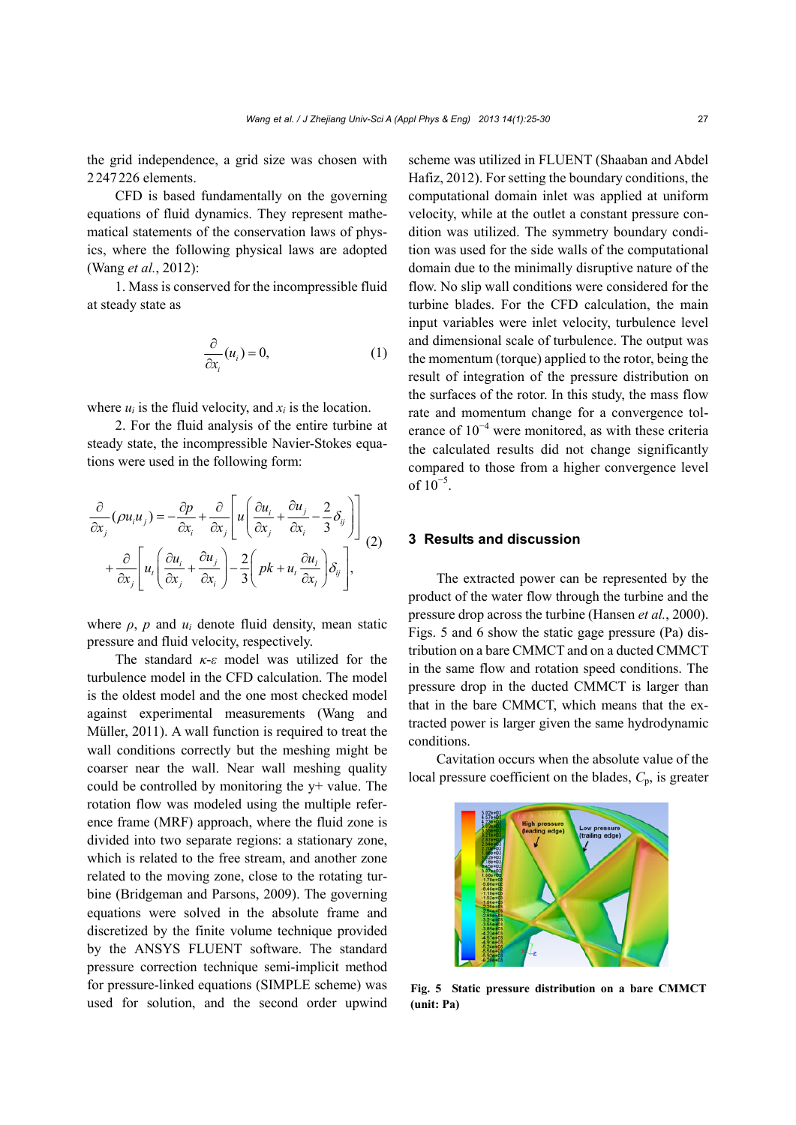the grid independence, a grid size was chosen with 2247226 elements.

CFD is based fundamentally on the governing equations of fluid dynamics. They represent mathematical statements of the conservation laws of physics, where the following physical laws are adopted (Wang *et al.*, 2012):

1. Mass is conserved for the incompressible fluid at steady state as

$$
\frac{\partial}{\partial x_i}(u_i) = 0,\tag{1}
$$

where  $u_i$  is the fluid velocity, and  $x_i$  is the location.

2. For the fluid analysis of the entire turbine at steady state, the incompressible Navier-Stokes equations were used in the following form:

$$
\frac{\partial}{\partial x_j}(\rho u_i u_j) = -\frac{\partial p}{\partial x_i} + \frac{\partial}{\partial x_j} \left[ u \left( \frac{\partial u_i}{\partial x_j} + \frac{\partial u_j}{\partial x_i} - \frac{2}{3} \delta_{ij} \right) \right] + \frac{\partial}{\partial x_j} \left[ u_t \left( \frac{\partial u_i}{\partial x_j} + \frac{\partial u_j}{\partial x_i} \right) - \frac{2}{3} \left( p k + u_t \frac{\partial u_t}{\partial x_i} \right) \delta_{ij} \right],
$$
\n(2)

where  $\rho$ ,  $p$  and  $u_i$  denote fluid density, mean static pressure and fluid velocity, respectively.

The standard *κ*-*ε* model was utilized for the turbulence model in the CFD calculation. The model is the oldest model and the one most checked model against experimental measurements (Wang and Müller, 2011). A wall function is required to treat the wall conditions correctly but the meshing might be coarser near the wall. Near wall meshing quality could be controlled by monitoring the y+ value. The rotation flow was modeled using the multiple reference frame (MRF) approach, where the fluid zone is divided into two separate regions: a stationary zone, which is related to the free stream, and another zone related to the moving zone, close to the rotating turbine (Bridgeman and Parsons, 2009). The governing equations were solved in the absolute frame and discretized by the finite volume technique provided by the ANSYS FLUENT software. The standard pressure correction technique semi-implicit method for pressure-linked equations (SIMPLE scheme) was used for solution, and the second order upwind scheme was utilized in FLUENT (Shaaban and Abdel Hafiz, 2012). For setting the boundary conditions, the computational domain inlet was applied at uniform velocity, while at the outlet a constant pressure condition was utilized. The symmetry boundary condition was used for the side walls of the computational domain due to the minimally disruptive nature of the flow. No slip wall conditions were considered for the turbine blades. For the CFD calculation, the main input variables were inlet velocity, turbulence level and dimensional scale of turbulence. The output was the momentum (torque) applied to the rotor, being the result of integration of the pressure distribution on the surfaces of the rotor. In this study, the mass flow rate and momentum change for a convergence tolerance of 10<sup>−</sup><sup>4</sup> were monitored, as with these criteria the calculated results did not change significantly compared to those from a higher convergence level of  $10^{-5}$ .

## **3 Results and discussion**

The extracted power can be represented by the product of the water flow through the turbine and the pressure drop across the turbine (Hansen *et al.*, 2000). Figs. 5 and 6 show the static gage pressure (Pa) distribution on a bare CMMCT and on a ducted CMMCT in the same flow and rotation speed conditions. The pressure drop in the ducted CMMCT is larger than that in the bare CMMCT, which means that the extracted power is larger given the same hydrodynamic conditions.

Cavitation occurs when the absolute value of the local pressure coefficient on the blades, *C*p, is greater



**Fig. 5 Static pressure distribution on a bare CMMCT (unit: Pa)**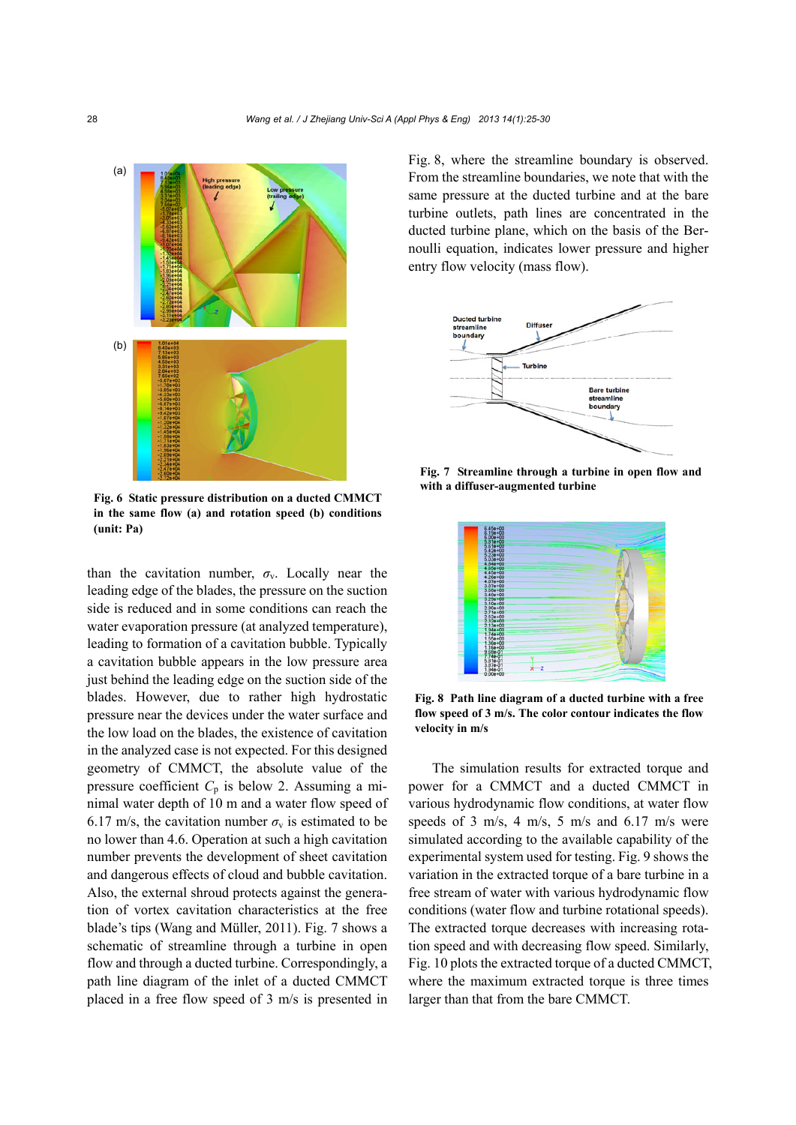

**Fig. 6 Static pressure distribution on a ducted CMMCT in the same flow (a) and rotation speed (b) conditions (unit: Pa)** 

than the cavitation number,  $\sigma_{v}$ . Locally near the leading edge of the blades, the pressure on the suction side is reduced and in some conditions can reach the water evaporation pressure (at analyzed temperature), leading to formation of a cavitation bubble. Typically a cavitation bubble appears in the low pressure area just behind the leading edge on the suction side of the blades. However, due to rather high hydrostatic pressure near the devices under the water surface and the low load on the blades, the existence of cavitation in the analyzed case is not expected. For this designed geometry of CMMCT, the absolute value of the pressure coefficient  $C_p$  is below 2. Assuming a minimal water depth of 10 m and a water flow speed of 6.17 m/s, the cavitation number  $\sigma_{v}$  is estimated to be no lower than 4.6. Operation at such a high cavitation number prevents the development of sheet cavitation and dangerous effects of cloud and bubble cavitation. Also, the external shroud protects against the generation of vortex cavitation characteristics at the free blade's tips (Wang and Müller, 2011). Fig. 7 shows a schematic of streamline through a turbine in open flow and through a ducted turbine. Correspondingly, a path line diagram of the inlet of a ducted CMMCT placed in a free flow speed of 3 m/s is presented in

Fig. 8, where the streamline boundary is observed. From the streamline boundaries, we note that with the same pressure at the ducted turbine and at the bare turbine outlets, path lines are concentrated in the ducted turbine plane, which on the basis of the Bernoulli equation, indicates lower pressure and higher entry flow velocity (mass flow).



**Fig. 7 Streamline through a turbine in open flow and with a diffuser-augmented turbine** 



**Fig. 8 Path line diagram of a ducted turbine with a free flow speed of 3 m/s. The color contour indicates the flow velocity in m/s** 

The simulation results for extracted torque and power for a CMMCT and a ducted CMMCT in various hydrodynamic flow conditions, at water flow speeds of 3 m/s, 4 m/s, 5 m/s and 6.17 m/s were simulated according to the available capability of the experimental system used for testing. Fig. 9 shows the variation in the extracted torque of a bare turbine in a free stream of water with various hydrodynamic flow conditions (water flow and turbine rotational speeds). The extracted torque decreases with increasing rotation speed and with decreasing flow speed. Similarly, Fig. 10 plots the extracted torque of a ducted CMMCT, where the maximum extracted torque is three times larger than that from the bare CMMCT.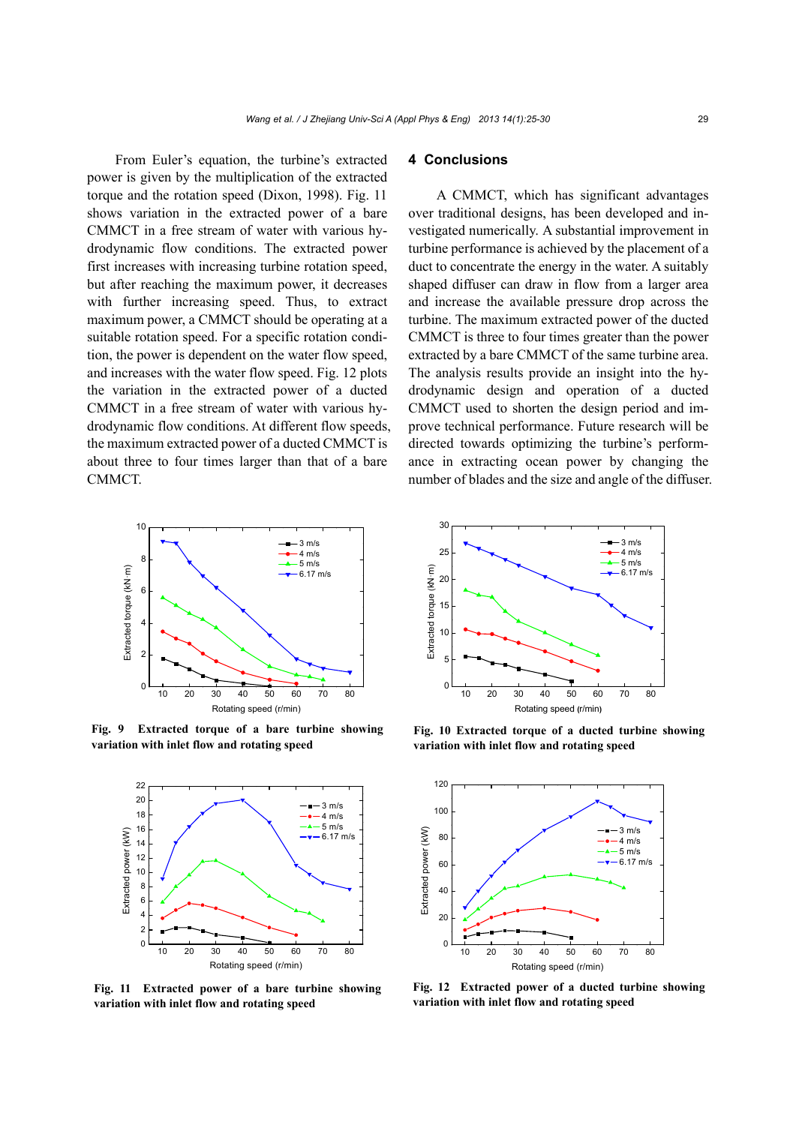From Euler's equation, the turbine's extracted power is given by the multiplication of the extracted torque and the rotation speed (Dixon, 1998). Fig. 11 shows variation in the extracted power of a bare CMMCT in a free stream of water with various hydrodynamic flow conditions. The extracted power first increases with increasing turbine rotation speed, but after reaching the maximum power, it decreases with further increasing speed. Thus, to extract maximum power, a CMMCT should be operating at a suitable rotation speed. For a specific rotation condition, the power is dependent on the water flow speed, and increases with the water flow speed. Fig. 12 plots the variation in the extracted power of a ducted CMMCT in a free stream of water with various hydrodynamic flow conditions. At different flow speeds, the maximum extracted power of a ducted CMMCT is about three to four times larger than that of a bare CMMCT.



**Fig. 9 Extracted torque of a bare turbine showing variation with inlet flow and rotating speed** 



**Fig. 11 Extracted power of a bare turbine showing variation with inlet flow and rotating speed** 

# **4 Conclusions**

A CMMCT, which has significant advantages over traditional designs, has been developed and investigated numerically. A substantial improvement in turbine performance is achieved by the placement of a duct to concentrate the energy in the water. A suitably shaped diffuser can draw in flow from a larger area and increase the available pressure drop across the turbine. The maximum extracted power of the ducted CMMCT is three to four times greater than the power extracted by a bare CMMCT of the same turbine area. The analysis results provide an insight into the hydrodynamic design and operation of a ducted CMMCT used to shorten the design period and improve technical performance. Future research will be directed towards optimizing the turbine's performance in extracting ocean power by changing the number of blades and the size and angle of the diffuser.



**Fig. 10 Extracted torque of a ducted turbine showing variation with inlet flow and rotating speed** 



**Fig. 12 Extracted power of a ducted turbine showing variation with inlet flow and rotating speed**